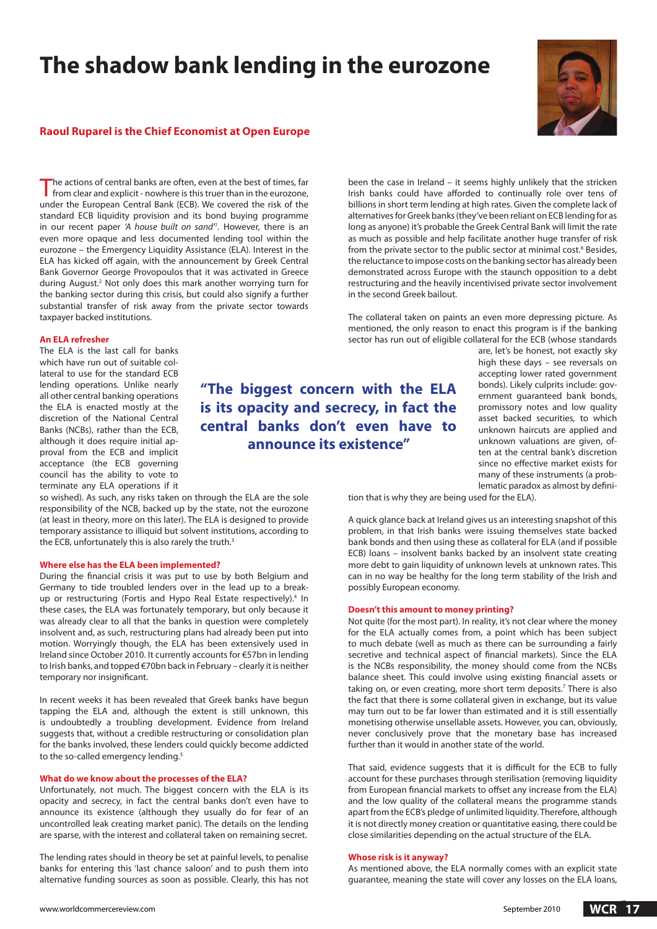# **The shadow bank lending in the eurozone**



## **Raoul Ruparel is the Chief Economist at Open Europe**

The actions of central banks are often, even at the best of times, far from clear and explicit - nowhere is this truer than in the eurozone, under the European Central Bank (ECB). We covered the risk of the standard ECB liquidity provision and its bond buying programme in our recent paper *'A house built on sand'1 .* However, there is an even more opaque and less documented lending tool within the eurozone – the Emergency Liquidity Assistance (ELA). Interest in the ELA has kicked off again, with the announcement by Greek Central Bank Governor George Provopoulos that it was activated in Greece during August.<sup>2</sup> Not only does this mark another worrying turn for the banking sector during this crisis, but could also signify a further substantial transfer of risk away from the private sector towards taxpayer backed institutions.

#### **An ELA refresher**

The ELA is the last call for banks which have run out of suitable collateral to use for the standard ECB lending operations. Unlike nearly all other central banking operations the ELA is enacted mostly at the discretion of the National Central Banks (NCBs), rather than the ECB, although it does require initial approval from the ECB and implicit acceptance (the ECB governing council has the ability to vote to terminate any ELA operations if it

so wished). As such, any risks taken on through the ELA are the sole responsibility of the NCB, backed up by the state, not the eurozone (at least in theory, more on this later). The ELA is designed to provide temporary assistance to illiquid but solvent institutions, according to the ECB, unfortunately this is also rarely the truth.<sup>3</sup>

#### **Where else has the ELA been implemented?**

During the financial crisis it was put to use by both Belgium and Germany to tide troubled lenders over in the lead up to a breakup or restructuring (Fortis and Hypo Real Estate respectively).<sup>4</sup> In these cases, the ELA was fortunately temporary, but only because it was already clear to all that the banks in question were completely insolvent and, as such, restructuring plans had already been put into motion. Worryingly though, the ELA has been extensively used in Ireland since October 2010. It currently accounts for €57bn in lending to Irish banks, and topped €70bn back in February – clearly it is neither temporary nor insignificant.

In recent weeks it has been revealed that Greek banks have begun tapping the ELA and, although the extent is still unknown, this is undoubtedly a troubling development. Evidence from Ireland suggests that, without a credible restructuring or consolidation plan for the banks involved, these lenders could quickly become addicted to the so-called emergency lending.<sup>5</sup>

#### **What do we know about the processes of the ELA?**

Unfortunately, not much. The biggest concern with the ELA is its opacity and secrecy, in fact the central banks don't even have to announce its existence (although they usually do for fear of an uncontrolled leak creating market panic). The details on the lending are sparse, with the interest and collateral taken on remaining secret.

The lending rates should in theory be set at painful levels, to penalise banks for entering this 'last chance saloon' and to push them into alternative funding sources as soon as possible. Clearly, this has not been the case in Ireland – it seems highly unlikely that the stricken Irish banks could have afforded to continually role over tens of billions in short term lending at high rates. Given the complete lack of alternatives for Greek banks (they've been reliant on ECB lending for as long as anyone) it's probable the Greek Central Bank will limit the rate as much as possible and help facilitate another huge transfer of risk from the private sector to the public sector at minimal cost.<sup>6</sup> Besides, the reluctance to impose costs on the banking sector has already been demonstrated across Europe with the staunch opposition to a debt restructuring and the heavily incentivised private sector involvement in the second Greek bailout.

The collateral taken on paints an even more depressing picture. As mentioned, the only reason to enact this program is if the banking sector has run out of eligible collateral for the ECB (whose standards

**"The biggest concern with the ELA is its opacity and secrecy, in fact the central banks don't even have to announce its existence"** 

are, let's be honest, not exactly sky high these days – see reversals on accepting lower rated government bonds). Likely culprits include: government guaranteed bank bonds, promissory notes and low quality asset backed securities, to which unknown haircuts are applied and unknown valuations are given, often at the central bank's discretion since no effective market exists for many of these instruments (a problematic paradox as almost by defini-

tion that is why they are being used for the ELA).

A quick glance back at Ireland gives us an interesting snapshot of this problem, in that Irish banks were issuing themselves state backed bank bonds and then using these as collateral for ELA (and if possible ECB) loans – insolvent banks backed by an insolvent state creating more debt to gain liquidity of unknown levels at unknown rates. This can in no way be healthy for the long term stability of the Irish and possibly European economy.

#### **Doesn't this amount to money printing?**

Not quite (for the most part). In reality, it's not clear where the money for the ELA actually comes from, a point which has been subject to much debate (well as much as there can be surrounding a fairly secretive and technical aspect of financial markets). Since the ELA is the NCBs responsibility, the money should come from the NCBs balance sheet. This could involve using existing financial assets or taking on, or even creating, more short term deposits.<sup>7</sup> There is also the fact that there is some collateral given in exchange, but its value may turn out to be far lower than estimated and it is still essentially monetising otherwise unsellable assets. However, you can, obviously, never conclusively prove that the monetary base has increased further than it would in another state of the world.

That said, evidence suggests that it is difficult for the ECB to fully account for these purchases through sterilisation (removing liquidity from European financial markets to offset any increase from the ELA) and the low quality of the collateral means the programme stands apart from the ECB's pledge of unlimited liquidity. Therefore, although it is not directly money creation or quantitative easing, there could be close similarities depending on the actual structure of the ELA.

### **Whose risk is it anyway?**

As mentioned above, the ELA normally comes with an explicit state guarantee, meaning the state will cover any losses on the ELA loans,